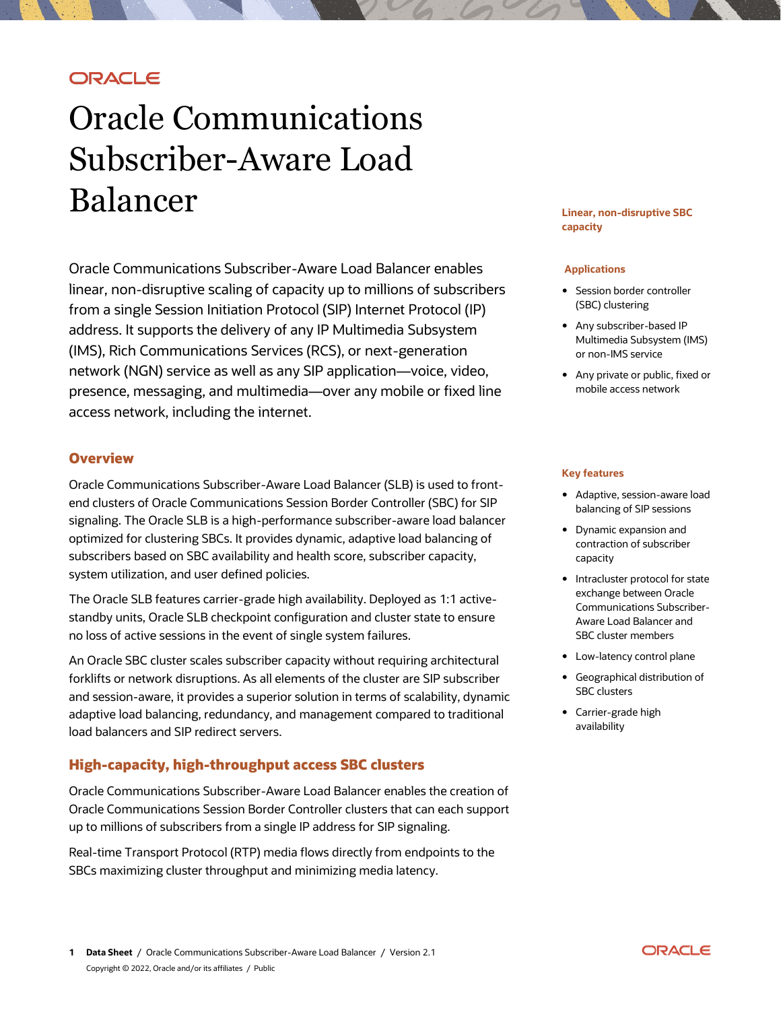# **ORACLE**

# Oracle Communications Subscriber-Aware Load Balancer

Oracle Communications Subscriber-Aware Load Balancer enables linear, non-disruptive scaling of capacity up to millions of subscribers from a single Session Initiation Protocol (SIP) Internet Protocol (IP) address. It supports the delivery of any IP Multimedia Subsystem (IMS), Rich Communications Services (RCS), or next-generation network (NGN) service as well as any SIP application—voice, video, presence, messaging, and multimedia—over any mobile or fixed line access network, including the internet.

## **Overview**

Oracle Communications Subscriber-Aware Load Balancer (SLB) is used to frontend clusters of Oracle Communications Session Border Controller (SBC) for SIP signaling. The Oracle SLB is a high-performance subscriber-aware load balancer optimized for clustering SBCs. It provides dynamic, adaptive load balancing of subscribers based on SBC availability and health score, subscriber capacity, system utilization, and user defined policies.

The Oracle SLB features carrier-grade high availability. Deployed as 1:1 activestandby units, Oracle SLB checkpoint configuration and cluster state to ensure no loss of active sessions in the event of single system failures.

An Oracle SBC cluster scales subscriber capacity without requiring architectural forklifts or network disruptions. As all elements of the cluster are SIP subscriber and session-aware, it provides a superior solution in terms of scalability, dynamic adaptive load balancing, redundancy, and management compared to traditional load balancers and SIP redirect servers.

## **High-capacity, high-throughput access SBC clusters**

Oracle Communications Subscriber-Aware Load Balancer enables the creation of Oracle Communications Session Border Controller clusters that can each support up to millions of subscribers from a single IP address for SIP signaling.

Real-time Transport Protocol (RTP) media flows directly from endpoints to the SBCs maximizing cluster throughput and minimizing media latency.

#### **Linear, non-disruptive SBC capacity**

#### **Applications**

- Session border controller (SBC) clustering
- Any subscriber-based IP Multimedia Subsystem (IMS) or non-IMS service
- Any private or public, fixed or mobile access network

#### **Key features**

- Adaptive, session-aware load balancing of SIP sessions
- Dynamic expansion and contraction of subscriber capacity
- Intracluster protocol for state exchange between Oracle Communications Subscriber-Aware Load Balancer and SBC cluster members
- Low-latency control plane
- Geographical distribution of SBC clusters
- Carrier-grade high availability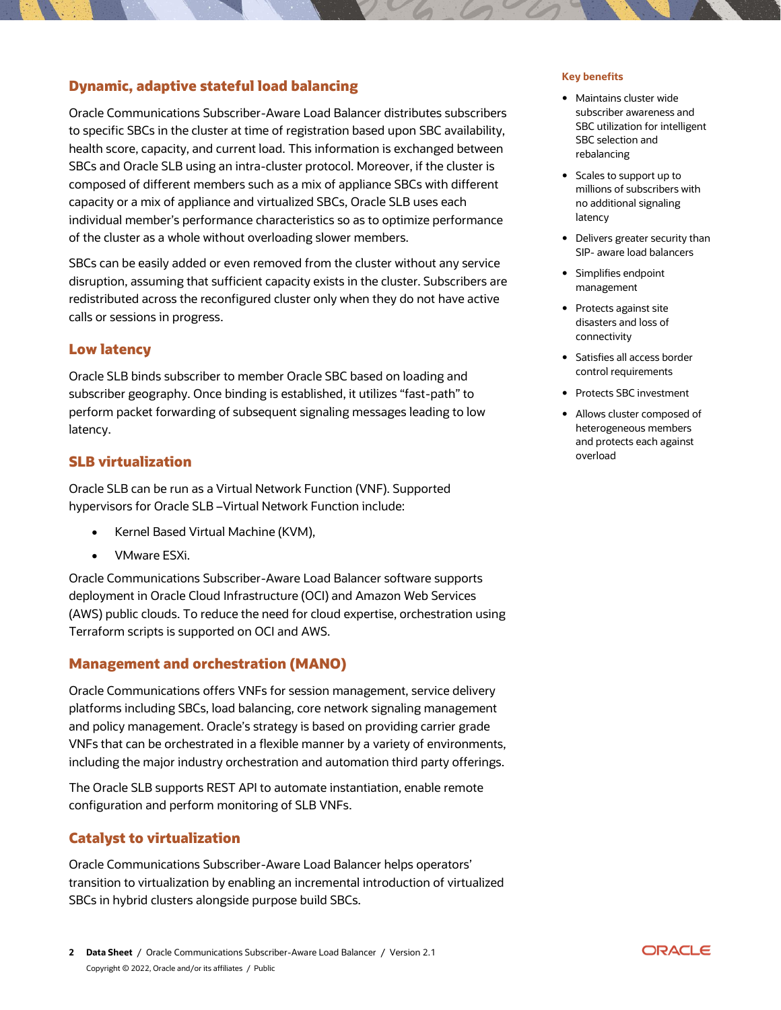# **Dynamic, adaptive stateful load balancing**

Oracle Communications Subscriber-Aware Load Balancer distributes subscribers to specific SBCs in the cluster at time of registration based upon SBC availability, health score, capacity, and current load. This information is exchanged between SBCs and Oracle SLB using an intra-cluster protocol. Moreover, if the cluster is composed of different members such as a mix of appliance SBCs with different capacity or a mix of appliance and virtualized SBCs, Oracle SLB uses each individual member's performance characteristics so as to optimize performance of the cluster as a whole without overloading slower members.

SBCs can be easily added or even removed from the cluster without any service disruption, assuming that sufficient capacity exists in the cluster. Subscribers are redistributed across the reconfigured cluster only when they do not have active calls or sessions in progress.

# **Low latency**

Oracle SLB binds subscriber to member Oracle SBC based on loading and subscriber geography. Once binding is established, it utilizes "fast-path" to perform packet forwarding of subsequent signaling messages leading to low latency.

## **SLB virtualization**

Oracle SLB can be run as a Virtual Network Function (VNF). Supported hypervisors for Oracle SLB –Virtual Network Function include:

- Kernel Based Virtual Machine (KVM),
- VMware ESXi.

Oracle Communications Subscriber-Aware Load Balancer software supports deployment in Oracle Cloud Infrastructure (OCI) and Amazon Web Services (AWS) public clouds. To reduce the need for cloud expertise, orchestration using Terraform scripts is supported on OCI and AWS.

## **Management and orchestration (MANO)**

Oracle Communications offers VNFs for session management, service delivery platforms including SBCs, load balancing, core network signaling management and policy management. Oracle's strategy is based on providing carrier grade VNFs that can be orchestrated in a flexible manner by a variety of environments, including the major industry orchestration and automation third party offerings.

The Oracle SLB supports REST API to automate instantiation, enable remote configuration and perform monitoring of SLB VNFs.

# **Catalyst to virtualization**

Oracle Communications Subscriber-Aware Load Balancer helps operators' transition to virtualization by enabling an incremental introduction of virtualized SBCs in hybrid clusters alongside purpose build SBCs.

#### **Key benefits**

- Maintains cluster wide subscriber awareness and SBC utilization for intelligent SBC selection and rebalancing
- Scales to support up to millions of subscribers with no additional signaling latency
- Delivers greater security than SIP- aware load balancers
- Simplifies endpoint management
- Protects against site disasters and loss of connectivity
- Satisfies all access border control requirements
- Protects SBC investment
- Allows cluster composed of heterogeneous members and protects each against overload

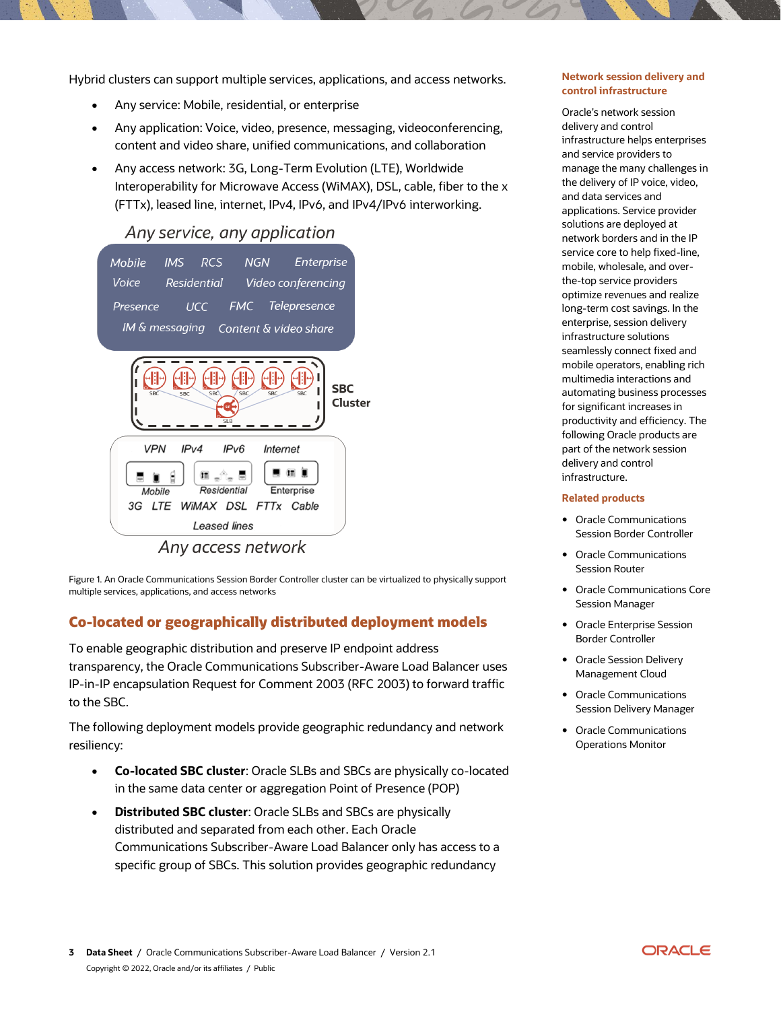Hybrid clusters can support multiple services, applications, and access networks.

- Any service: Mobile, residential, or enterprise
- Any application: Voice, video, presence, messaging, videoconferencing, content and video share, unified communications, and collaboration
- Any access network: 3G, Long-Term Evolution (LTE), Worldwide Interoperability for Microwave Access (WiMAX), DSL, cable, fiber to the x (FTTx), leased line, internet, IPv4, IPv6, and IPv4/IPv6 interworking.

# Any service, any application



Figure 1. An Oracle Communications Session Border Controller cluster can be virtualized to physically support multiple services, applications, and access networks

# **Co-located or geographically distributed deployment models**

To enable geographic distribution and preserve IP endpoint address transparency, the Oracle Communications Subscriber-Aware Load Balancer uses IP-in-IP encapsulation Request for Comment 2003 (RFC 2003) to forward traffic to the SBC.

The following deployment models provide geographic redundancy and network resiliency:

- **Co-located SBC cluster**: Oracle SLBs and SBCs are physically co-located in the same data center or aggregation Point of Presence (POP)
- **Distributed SBC cluster**: Oracle SLBs and SBCs are physically distributed and separated from each other. Each Oracle Communications Subscriber-Aware Load Balancer only has access to a specific group of SBCs. This solution provides geographic redundancy

#### **Network session delivery and control infrastructure**

Oracle's network session delivery and control infrastructure helps enterprises and service providers to manage the many challenges in the delivery of IP voice, video, and data services and applications. Service provider solutions are deployed at network borders and in the IP service core to help fixed-line, mobile, wholesale, and overthe-top service providers optimize revenues and realize long-term cost savings. In the enterprise, session delivery infrastructure solutions seamlessly connect fixed and mobile operators, enabling rich multimedia interactions and automating business processes for significant increases in productivity and efficiency. The following Oracle products are part of the network session delivery and control infrastructure.

#### **Related products**

- Oracle Communications Session Border Controller
- Oracle Communications Session Router
- Oracle Communications Core Session Manager
- Oracle Enterprise Session Border Controller
- Oracle Session Delivery Management Cloud
- Oracle Communications Session Delivery Manager
- Oracle Communications Operations Monitor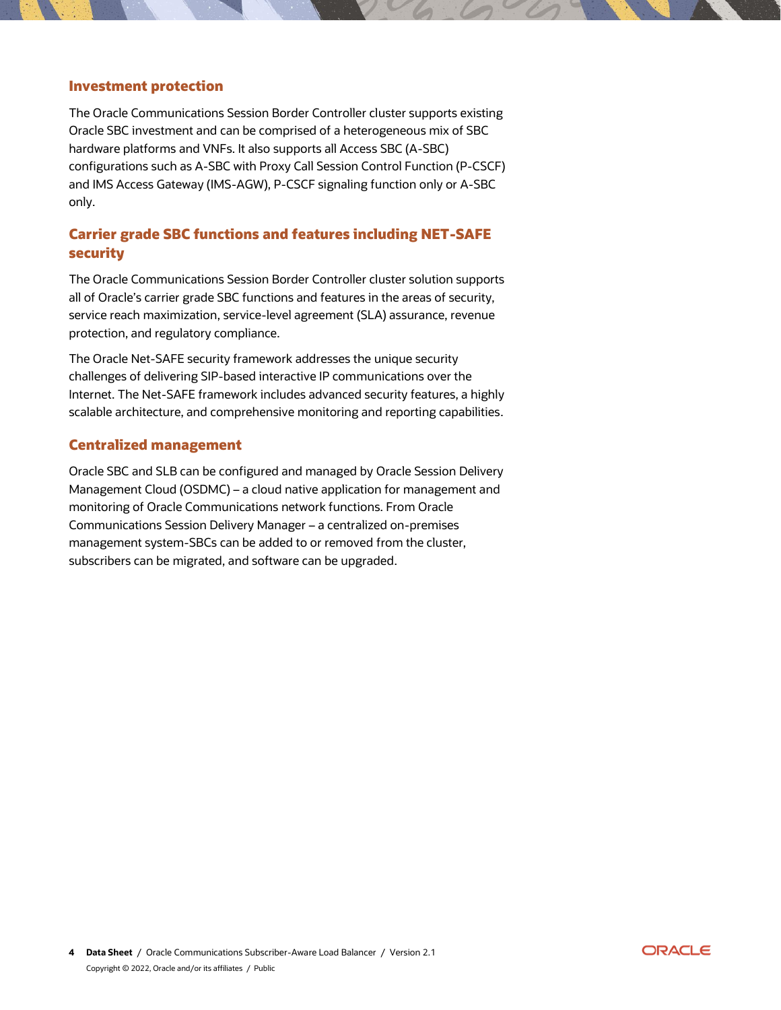## **Investment protection**

The Oracle Communications Session Border Controller cluster supports existing Oracle SBC investment and can be comprised of a heterogeneous mix of SBC hardware platforms and VNFs. It also supports all Access SBC (A-SBC) configurations such as A-SBC with Proxy Call Session Control Function (P-CSCF) and IMS Access Gateway (IMS-AGW), P-CSCF signaling function only or A-SBC only.

# **Carrier grade SBC functions and features including NET-SAFE security**

The Oracle Communications Session Border Controller cluster solution supports all of Oracle's carrier grade SBC functions and features in the areas of security, service reach maximization, service-level agreement (SLA) assurance, revenue protection, and regulatory compliance.

The Oracle Net-SAFE security framework addresses the unique security challenges of delivering SIP-based interactive IP communications over the Internet. The Net-SAFE framework includes advanced security features, a highly scalable architecture, and comprehensive monitoring and reporting capabilities.

### **Centralized management**

Oracle SBC and SLB can be configured and managed by Oracle Session Delivery Management Cloud (OSDMC) – a cloud native application for management and monitoring of Oracle Communications network functions. From Oracle Communications Session Delivery Manager – a centralized on-premises management system-SBCs can be added to or removed from the cluster, subscribers can be migrated, and software can be upgraded.